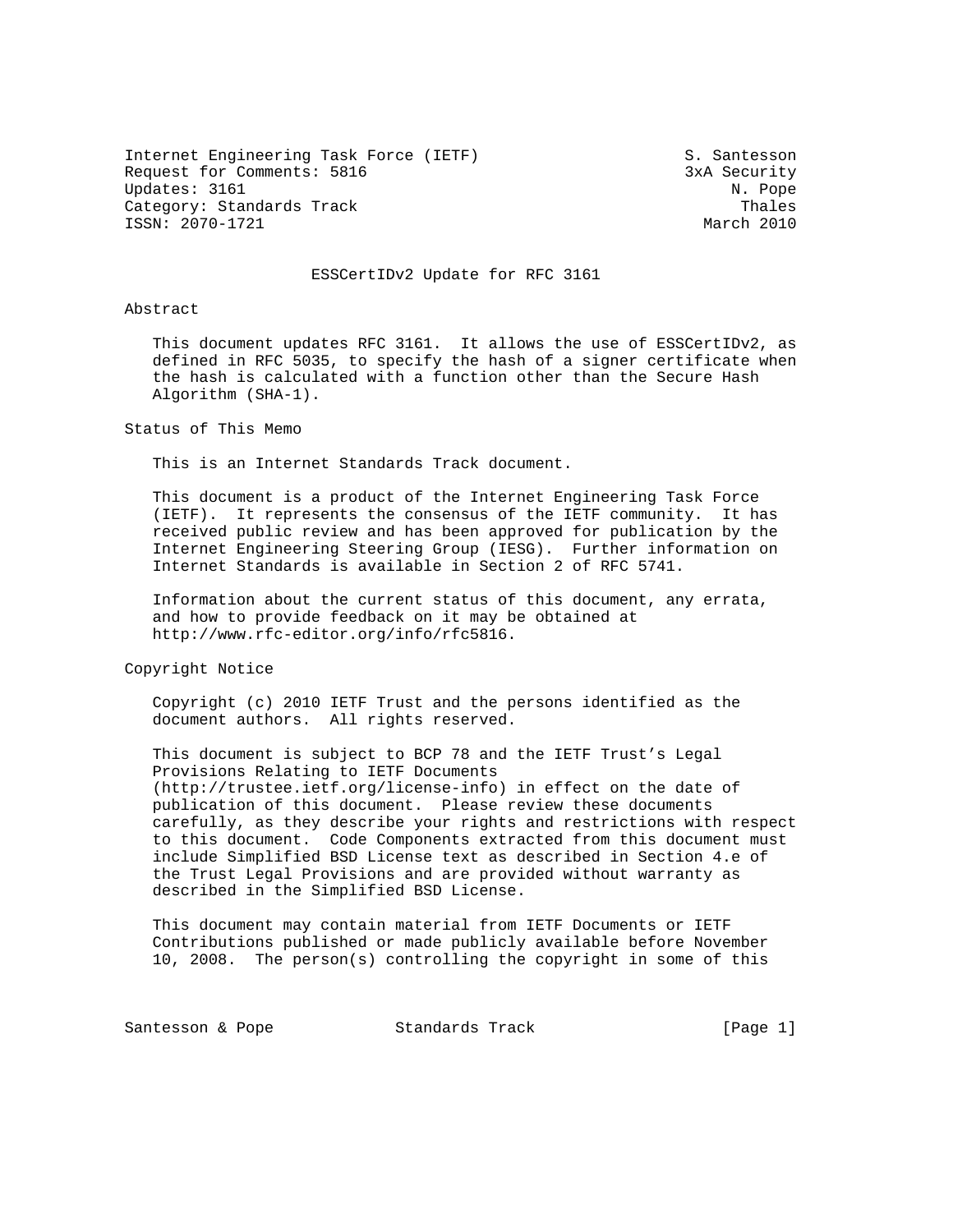Internet Engineering Task Force (IETF) S. Santesson Request for Comments: 5816 3xA Security Updates: 3161 N. Pope Category: Standards Track Thales<br>ISSN: 2070-1721 March 2010 ISSN: 2070-1721

# ESSCertIDv2 Update for RFC 3161

Abstract

 This document updates RFC 3161. It allows the use of ESSCertIDv2, as defined in RFC 5035, to specify the hash of a signer certificate when the hash is calculated with a function other than the Secure Hash Algorithm (SHA-1).

Status of This Memo

This is an Internet Standards Track document.

 This document is a product of the Internet Engineering Task Force (IETF). It represents the consensus of the IETF community. It has received public review and has been approved for publication by the Internet Engineering Steering Group (IESG). Further information on Internet Standards is available in Section 2 of RFC 5741.

 Information about the current status of this document, any errata, and how to provide feedback on it may be obtained at http://www.rfc-editor.org/info/rfc5816.

Copyright Notice

 Copyright (c) 2010 IETF Trust and the persons identified as the document authors. All rights reserved.

 This document is subject to BCP 78 and the IETF Trust's Legal Provisions Relating to IETF Documents (http://trustee.ietf.org/license-info) in effect on the date of publication of this document. Please review these documents carefully, as they describe your rights and restrictions with respect to this document. Code Components extracted from this document must include Simplified BSD License text as described in Section 4.e of the Trust Legal Provisions and are provided without warranty as described in the Simplified BSD License.

 This document may contain material from IETF Documents or IETF Contributions published or made publicly available before November 10, 2008. The person(s) controlling the copyright in some of this

Santesson & Pope 6 Standards Track [Page 1]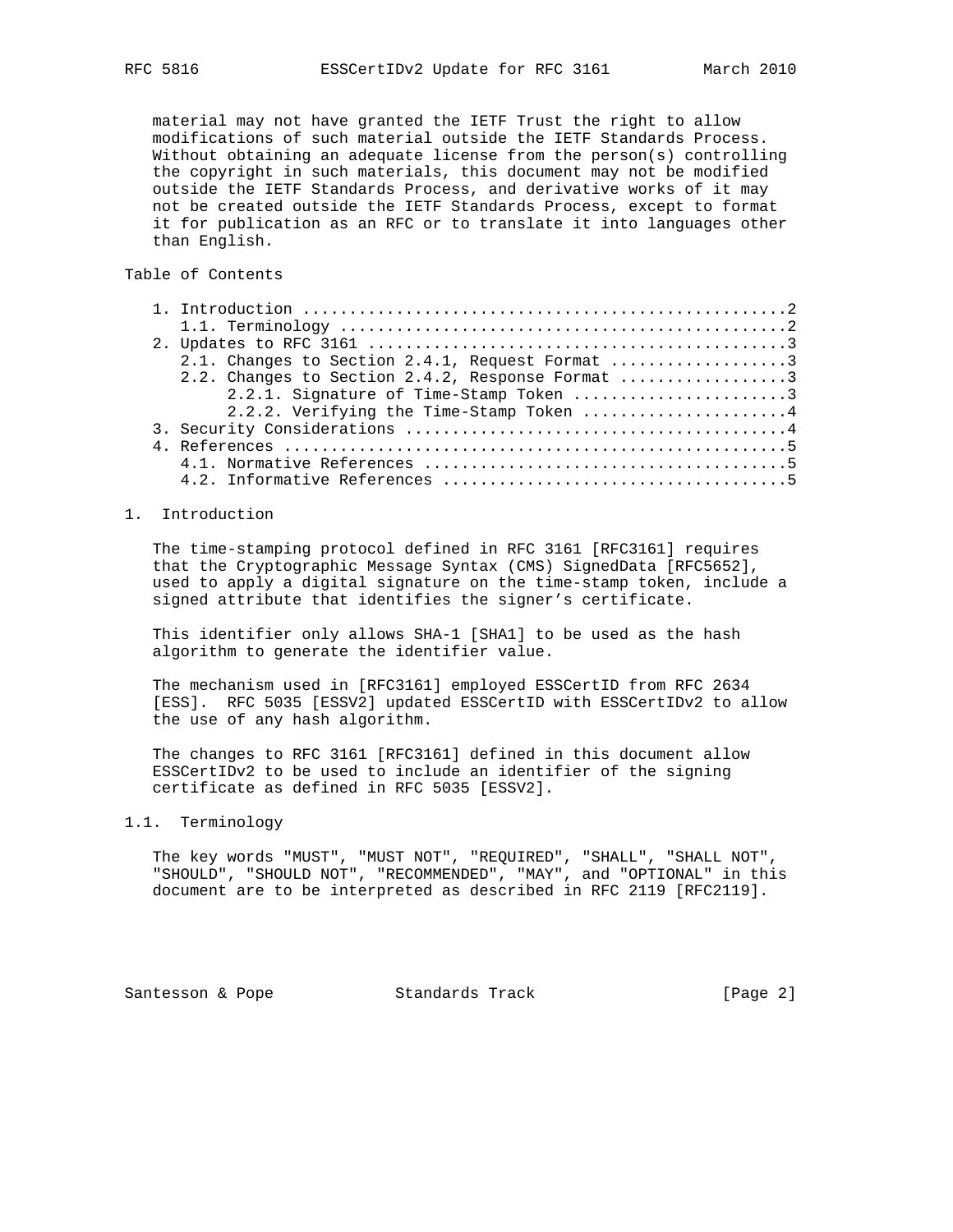material may not have granted the IETF Trust the right to allow modifications of such material outside the IETF Standards Process. Without obtaining an adequate license from the person(s) controlling the copyright in such materials, this document may not be modified outside the IETF Standards Process, and derivative works of it may not be created outside the IETF Standards Process, except to format it for publication as an RFC or to translate it into languages other than English.

# Table of Contents

| 2.1. Changes to Section 2.4.1, Request Format 3  |
|--------------------------------------------------|
| 2.2. Changes to Section 2.4.2, Response Format 3 |
| 2.2.1. Signature of Time-Stamp Token 3           |
| 2.2.2. Verifying the Time-Stamp Token 4          |
|                                                  |
|                                                  |
|                                                  |
|                                                  |

## 1. Introduction

 The time-stamping protocol defined in RFC 3161 [RFC3161] requires that the Cryptographic Message Syntax (CMS) SignedData [RFC5652], used to apply a digital signature on the time-stamp token, include a signed attribute that identifies the signer's certificate.

 This identifier only allows SHA-1 [SHA1] to be used as the hash algorithm to generate the identifier value.

 The mechanism used in [RFC3161] employed ESSCertID from RFC 2634 [ESS]. RFC 5035 [ESSV2] updated ESSCertID with ESSCertIDv2 to allow the use of any hash algorithm.

 The changes to RFC 3161 [RFC3161] defined in this document allow ESSCertIDv2 to be used to include an identifier of the signing certificate as defined in RFC 5035 [ESSV2].

# 1.1. Terminology

 The key words "MUST", "MUST NOT", "REQUIRED", "SHALL", "SHALL NOT", "SHOULD", "SHOULD NOT", "RECOMMENDED", "MAY", and "OPTIONAL" in this document are to be interpreted as described in RFC 2119 [RFC2119].

Santesson & Pope Standards Track [Page 2]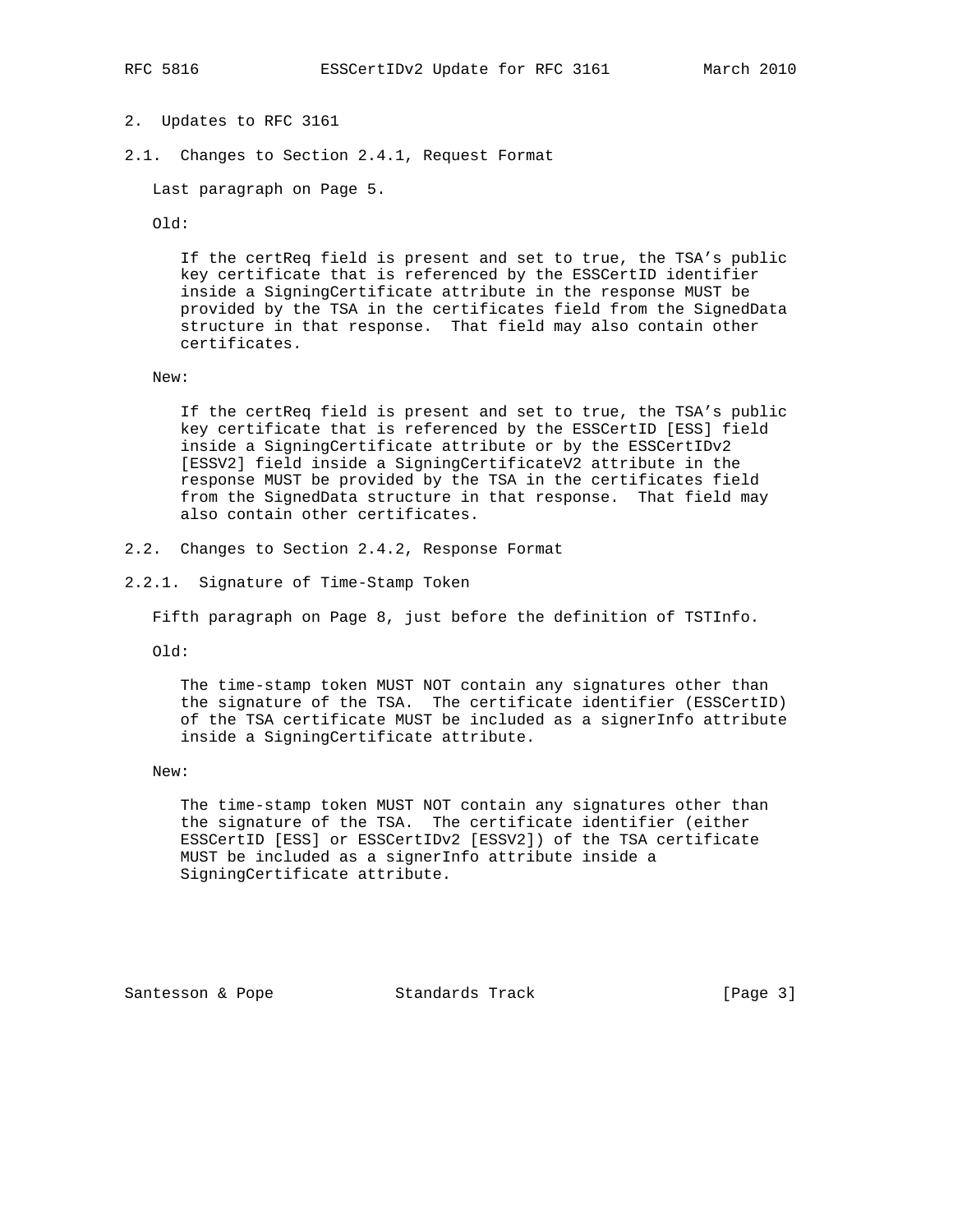- 2. Updates to RFC 3161
- 2.1. Changes to Section 2.4.1, Request Format

Last paragraph on Page 5.

Old:

 If the certReq field is present and set to true, the TSA's public key certificate that is referenced by the ESSCertID identifier inside a SigningCertificate attribute in the response MUST be provided by the TSA in the certificates field from the SignedData structure in that response. That field may also contain other certificates.

New:

 If the certReq field is present and set to true, the TSA's public key certificate that is referenced by the ESSCertID [ESS] field inside a SigningCertificate attribute or by the ESSCertIDv2 [ESSV2] field inside a SigningCertificateV2 attribute in the response MUST be provided by the TSA in the certificates field from the SignedData structure in that response. That field may also contain other certificates.

- 2.2. Changes to Section 2.4.2, Response Format
- 2.2.1. Signature of Time-Stamp Token

Fifth paragraph on Page 8, just before the definition of TSTInfo.

Old:

 The time-stamp token MUST NOT contain any signatures other than the signature of the TSA. The certificate identifier (ESSCertID) of the TSA certificate MUST be included as a signerInfo attribute inside a SigningCertificate attribute.

New:

 The time-stamp token MUST NOT contain any signatures other than the signature of the TSA. The certificate identifier (either ESSCertID [ESS] or ESSCertIDv2 [ESSV2]) of the TSA certificate MUST be included as a signerInfo attribute inside a SigningCertificate attribute.

Santesson & Pope Standards Track [Page 3]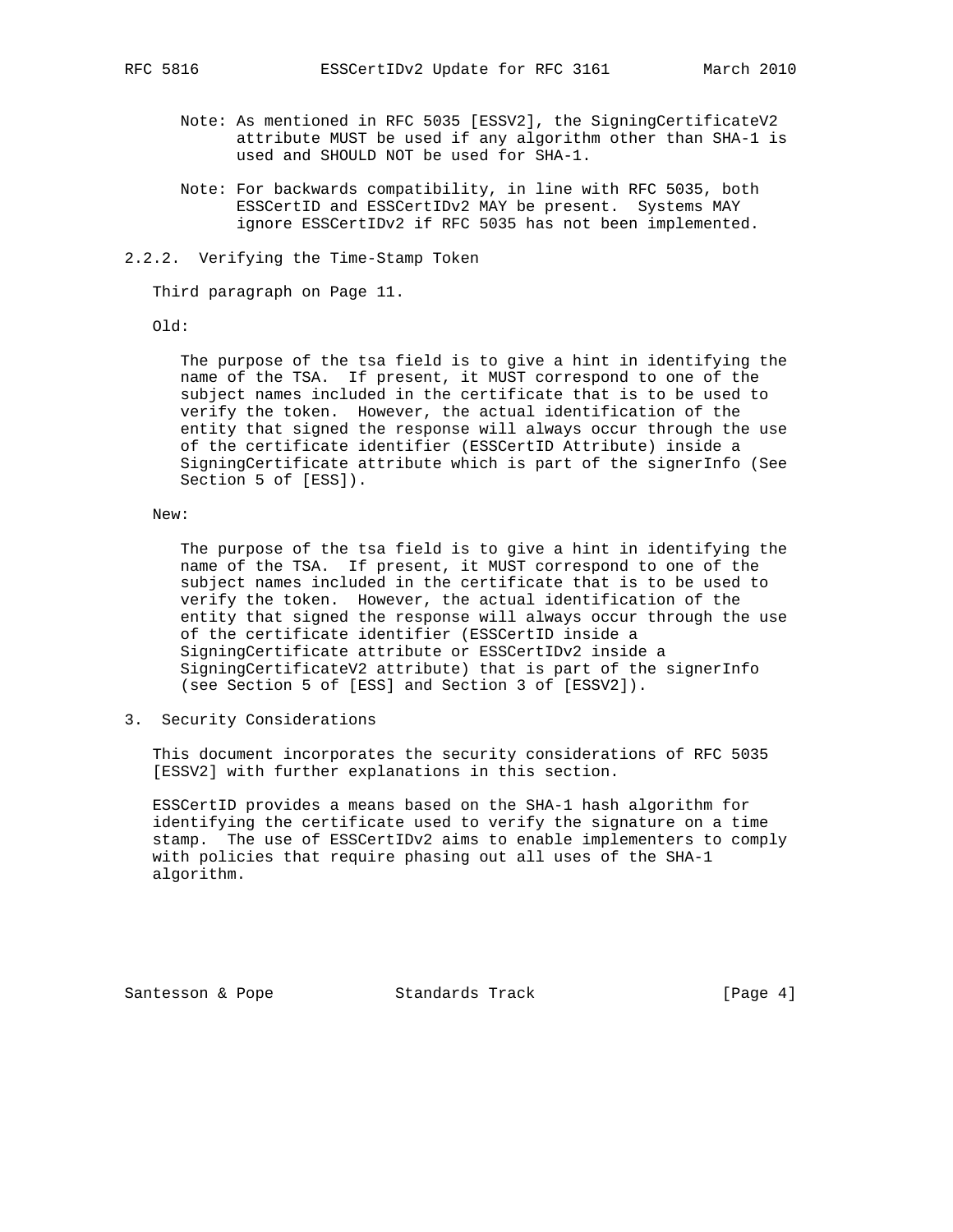- Note: As mentioned in RFC 5035 [ESSV2], the SigningCertificateV2 attribute MUST be used if any algorithm other than SHA-1 is used and SHOULD NOT be used for SHA-1.
- Note: For backwards compatibility, in line with RFC 5035, both ESSCertID and ESSCertIDv2 MAY be present. Systems MAY ignore ESSCertIDv2 if RFC 5035 has not been implemented.
- 2.2.2. Verifying the Time-Stamp Token

Third paragraph on Page 11.

## Old:

 The purpose of the tsa field is to give a hint in identifying the name of the TSA. If present, it MUST correspond to one of the subject names included in the certificate that is to be used to verify the token. However, the actual identification of the entity that signed the response will always occur through the use of the certificate identifier (ESSCertID Attribute) inside a SigningCertificate attribute which is part of the signerInfo (See Section 5 of [ESS]).

## New:

 The purpose of the tsa field is to give a hint in identifying the name of the TSA. If present, it MUST correspond to one of the subject names included in the certificate that is to be used to verify the token. However, the actual identification of the entity that signed the response will always occur through the use of the certificate identifier (ESSCertID inside a SigningCertificate attribute or ESSCertIDv2 inside a SigningCertificateV2 attribute) that is part of the signerInfo (see Section 5 of [ESS] and Section 3 of [ESSV2]).

3. Security Considerations

 This document incorporates the security considerations of RFC 5035 [ESSV2] with further explanations in this section.

 ESSCertID provides a means based on the SHA-1 hash algorithm for identifying the certificate used to verify the signature on a time stamp. The use of ESSCertIDv2 aims to enable implementers to comply with policies that require phasing out all uses of the SHA-1 algorithm.

Santesson & Pope Standards Track [Page 4]